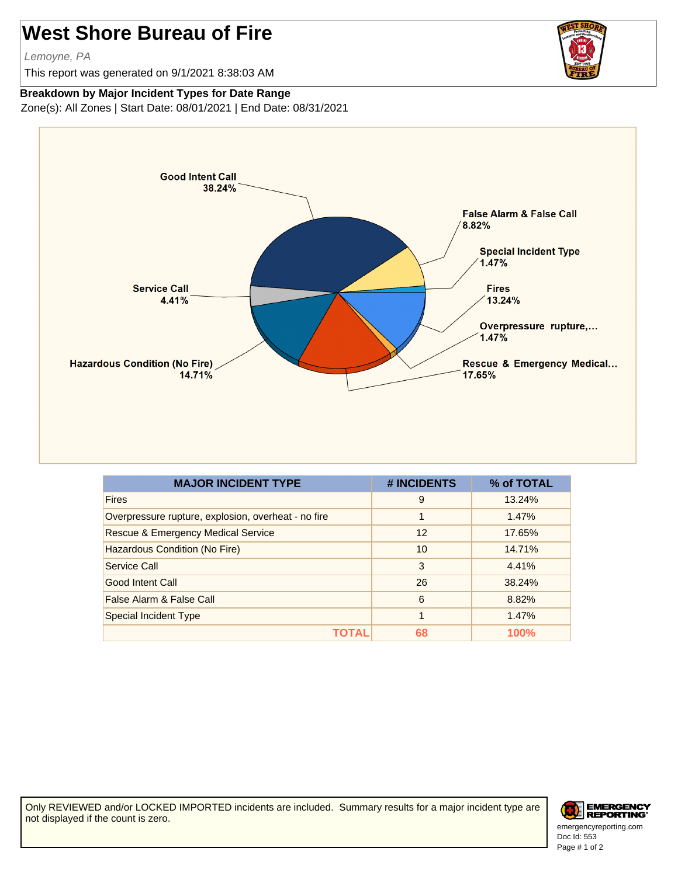## **West Shore Bureau of Fire**

Lemoyne, PA

This report was generated on 9/1/2021 8:38:03 AM



## **Breakdown by Major Incident Types for Date Range**

Zone(s): All Zones | Start Date: 08/01/2021 | End Date: 08/31/2021



| <b>MAJOR INCIDENT TYPE</b>                          | # INCIDENTS | % of TOTAL  |
|-----------------------------------------------------|-------------|-------------|
| <b>Fires</b>                                        | 9           | 13.24%      |
| Overpressure rupture, explosion, overheat - no fire | 1           | 1.47%       |
| <b>Rescue &amp; Emergency Medical Service</b>       | 12          | 17.65%      |
| Hazardous Condition (No Fire)                       | 10          | 14.71%      |
| Service Call                                        | 3           | 4.41%       |
| Good Intent Call                                    | 26          | 38.24%      |
| False Alarm & False Call                            | 6           | 8.82%       |
| <b>Special Incident Type</b>                        | 1           | 1.47%       |
|                                                     | 68          | <b>100%</b> |

Only REVIEWED and/or LOCKED IMPORTED incidents are included. Summary results for a major incident type are not displayed if the count is zero.



Doc Id: 553 emergencyreporting.com Page # 1 of 2